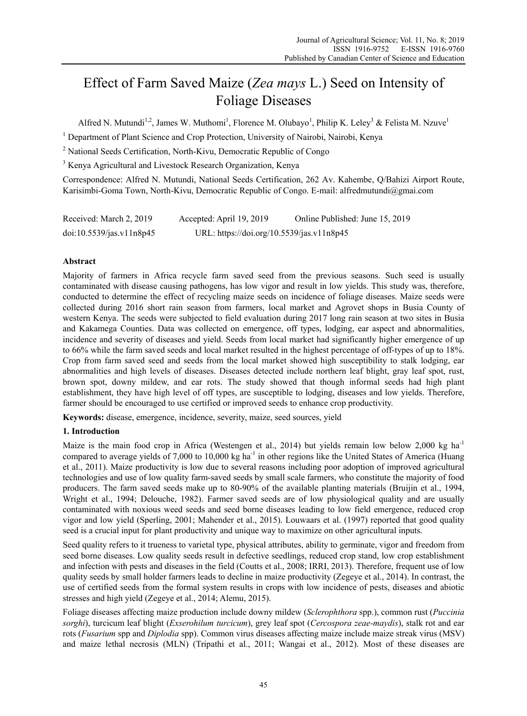# Effect of Farm Saved Maize (*Zea mays* L.) Seed on Intensity of Foliage Diseases

Alfred N. Mutundi<sup>1,2</sup>, James W. Muthomi<sup>1</sup>, Florence M. Olubayo<sup>1</sup>, Philip K. Leley<sup>3</sup> & Felista M. Nzuve<sup>1</sup>

<sup>1</sup> Department of Plant Science and Crop Protection, University of Nairobi, Nairobi, Kenya

<sup>2</sup> National Seeds Certification, North-Kivu, Democratic Republic of Congo

<sup>3</sup> Kenya Agricultural and Livestock Research Organization, Kenya

Correspondence: Alfred N. Mutundi, National Seeds Certification, 262 Av. Kahembe, Q/Bahizi Airport Route, Karisimbi-Goma Town, North-Kivu, Democratic Republic of Congo. E-mail: alfredmutundi@gmai.com

| Received: March 2, 2019  | Accepted: April 19, 2019                  | Online Published: June 15, 2019 |
|--------------------------|-------------------------------------------|---------------------------------|
| doi:10.5539/jas.v11n8p45 | URL: https://doi.org/10.5539/jas.v11n8p45 |                                 |

# **Abstract**

Majority of farmers in Africa recycle farm saved seed from the previous seasons. Such seed is usually contaminated with disease causing pathogens, has low vigor and result in low yields. This study was, therefore, conducted to determine the effect of recycling maize seeds on incidence of foliage diseases. Maize seeds were collected during 2016 short rain season from farmers, local market and Agrovet shops in Busia County of western Kenya. The seeds were subjected to field evaluation during 2017 long rain season at two sites in Busia and Kakamega Counties. Data was collected on emergence, off types, lodging, ear aspect and abnormalities, incidence and severity of diseases and yield. Seeds from local market had significantly higher emergence of up to 66% while the farm saved seeds and local market resulted in the highest percentage of off-types of up to 18%. Crop from farm saved seed and seeds from the local market showed high susceptibility to stalk lodging, ear abnormalities and high levels of diseases. Diseases detected include northern leaf blight, gray leaf spot, rust, brown spot, downy mildew, and ear rots. The study showed that though informal seeds had high plant establishment, they have high level of off types, are susceptible to lodging, diseases and low yields. Therefore, farmer should be encouraged to use certified or improved seeds to enhance crop productivity.

**Keywords:** disease, emergence, incidence, severity, maize, seed sources, yield

# **1. Introduction**

Maize is the main food crop in Africa (Westengen et al., 2014) but yields remain low below 2,000 kg ha<sup>-1</sup> compared to average yields of 7,000 to 10,000 kg ha<sup>-1</sup> in other regions like the United States of America (Huang et al., 2011). Maize productivity is low due to several reasons including poor adoption of improved agricultural technologies and use of low quality farm-saved seeds by small scale farmers, who constitute the majority of food producers. The farm saved seeds make up to 80-90% of the available planting materials (Bruijin et al., 1994, Wright et al., 1994; Delouche, 1982). Farmer saved seeds are of low physiological quality and are usually contaminated with noxious weed seeds and seed borne diseases leading to low field emergence, reduced crop vigor and low yield (Sperling, 2001; Mahender et al., 2015). Louwaars et al. (1997) reported that good quality seed is a crucial input for plant productivity and unique way to maximize on other agricultural inputs.

Seed quality refers to it trueness to varietal type, physical attributes, ability to germinate, vigor and freedom from seed borne diseases. Low quality seeds result in defective seedlings, reduced crop stand, low crop establishment and infection with pests and diseases in the field (Coutts et al., 2008; IRRI, 2013). Therefore, frequent use of low quality seeds by small holder farmers leads to decline in maize productivity (Zegeye et al., 2014). In contrast, the use of certified seeds from the formal system results in crops with low incidence of pests, diseases and abiotic stresses and high yield (Zegeye et al., 2014; Alemu, 2015).

Foliage diseases affecting maize production include downy mildew (*Sclerophthora* spp.), common rust (*Puccinia sorghi*), turcicum leaf blight (*Exserohilum turcicum*), grey leaf spot (*Cercospora zeae-maydis*), stalk rot and ear rots (*Fusarium* spp and *Diplodia* spp). Common virus diseases affecting maize include maize streak virus (MSV) and maize lethal necrosis (MLN) (Tripathi et al., 2011; Wangai et al., 2012). Most of these diseases are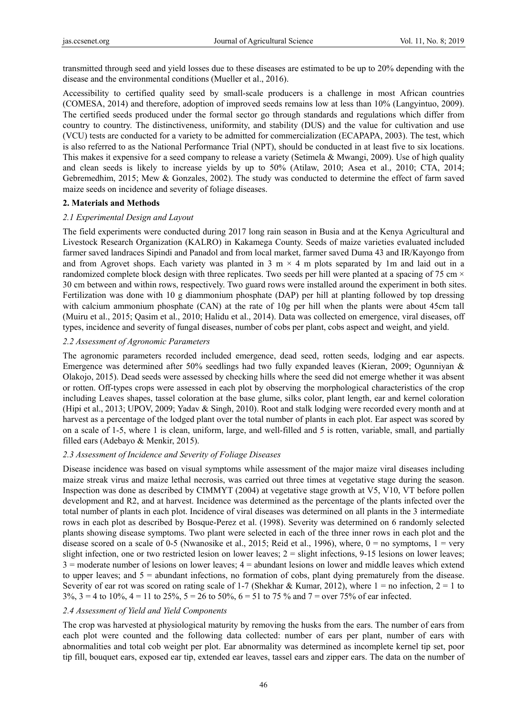transmitted through seed and yield losses due to these diseases are estimated to be up to 20% depending with the disease and the environmental conditions (Mueller et al., 2016).

Accessibility to certified quality seed by small-scale producers is a challenge in most African countries (COMESA, 2014) and therefore, adoption of improved seeds remains low at less than 10% (Langyintuo, 2009). The certified seeds produced under the formal sector go through standards and regulations which differ from country to country. The distinctiveness, uniformity, and stability (DUS) and the value for cultivation and use (VCU) tests are conducted for a variety to be admitted for commercialization (ECAPAPA, 2003). The test, which is also referred to as the National Performance Trial (NPT), should be conducted in at least five to six locations. This makes it expensive for a seed company to release a variety (Setimela & Mwangi, 2009). Use of high quality and clean seeds is likely to increase yields by up to 50% (Atilaw, 2010; Asea et al., 2010; CTA, 2014; Gebremedhim, 2015; Mew & Gonzales, 2002). The study was conducted to determine the effect of farm saved maize seeds on incidence and severity of foliage diseases.

# **2. Materials and Methods**

#### *2.1 Experimental Design and Layout*

The field experiments were conducted during 2017 long rain season in Busia and at the Kenya Agricultural and Livestock Research Organization (KALRO) in Kakamega County. Seeds of maize varieties evaluated included farmer saved landraces Sipindi and Panadol and from local market, farmer saved Duma 43 and IR/Kayongo from and from Agrovet shops. Each variety was planted in  $3 \text{ m} \times 4 \text{ m}$  plots separated by 1m and laid out in a randomized complete block design with three replicates. Two seeds per hill were planted at a spacing of 75 cm  $\times$ 30 cm between and within rows, respectively. Two guard rows were installed around the experiment in both sites. Fertilization was done with 10 g diammonium phosphate (DAP) per hill at planting followed by top dressing with calcium ammonium phosphate (CAN) at the rate of 10g per hill when the plants were about 45cm tall (Muiru et al., 2015; Qasim et al., 2010; Halidu et al., 2014). Data was collected on emergence, viral diseases, off types, incidence and severity of fungal diseases, number of cobs per plant, cobs aspect and weight, and yield.

#### *2.2 Assessment of Agronomic Parameters*

The agronomic parameters recorded included emergence, dead seed, rotten seeds, lodging and ear aspects. Emergence was determined after 50% seedlings had two fully expanded leaves (Kieran, 2009; Ogunniyan & Olakojo, 2015). Dead seeds were assessed by checking hills where the seed did not emerge whether it was absent or rotten. Off-types crops were assessed in each plot by observing the morphological characteristics of the crop including Leaves shapes, tassel coloration at the base glume, silks color, plant length, ear and kernel coloration (Hipi et al., 2013; UPOV, 2009; Yadav & Singh, 2010). Root and stalk lodging were recorded every month and at harvest as a percentage of the lodged plant over the total number of plants in each plot. Ear aspect was scored by on a scale of 1-5, where 1 is clean, uniform, large, and well-filled and 5 is rotten, variable, small, and partially filled ears (Adebayo & Menkir, 2015).

# *2.3 Assessment of Incidence and Severity of Foliage Diseases*

Disease incidence was based on visual symptoms while assessment of the major maize viral diseases including maize streak virus and maize lethal necrosis, was carried out three times at vegetative stage during the season. Inspection was done as described by CIMMYT (2004) at vegetative stage growth at V5, V10, VT before pollen development and R2, and at harvest. Incidence was determined as the percentage of the plants infected over the total number of plants in each plot. Incidence of viral diseases was determined on all plants in the 3 intermediate rows in each plot as described by Bosque-Perez et al. (1998). Severity was determined on 6 randomly selected plants showing disease symptoms. Two plant were selected in each of the three inner rows in each plot and the disease scored on a scale of 0-5 (Nwanosike et al., 2015; Reid et al., 1996), where,  $0 =$  no symptoms,  $1 =$  very slight infection, one or two restricted lesion on lower leaves; 2 = slight infections, 9-15 lesions on lower leaves;  $3 =$  moderate number of lesions on lower leaves;  $4 =$  abundant lesions on lower and middle leaves which extend to upper leaves; and 5 = abundant infections, no formation of cobs, plant dying prematurely from the disease. Severity of ear rot was scored on rating scale of 1-7 (Shekhar & Kumar, 2012), where  $1 =$  no infection,  $2 = 1$  to  $3\%, 3 = 4$  to  $10\%, 4 = 11$  to  $25\%, 5 = 26$  to  $50\%, 6 = 51$  to 75 % and 7 = over 75% of ear infected.

#### *2.4 Assessment of Yield and Yield Components*

The crop was harvested at physiological maturity by removing the husks from the ears. The number of ears from each plot were counted and the following data collected: number of ears per plant, number of ears with abnormalities and total cob weight per plot. Ear abnormality was determined as incomplete kernel tip set, poor tip fill, bouquet ears, exposed ear tip, extended ear leaves, tassel ears and zipper ears. The data on the number of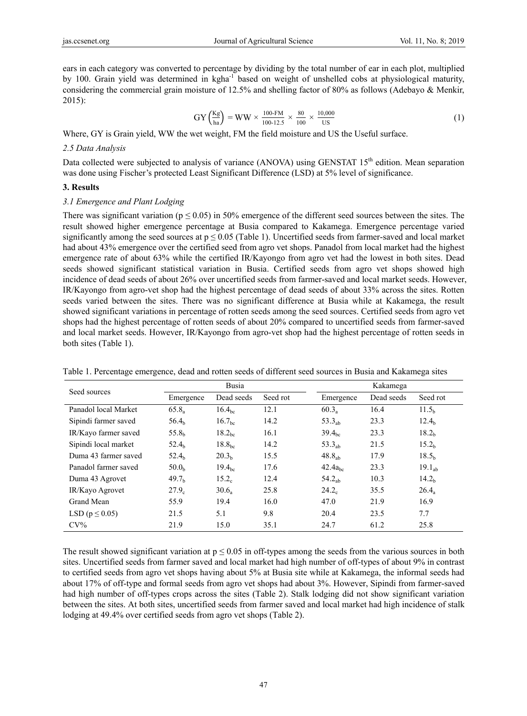ears in each category was converted to percentage by dividing by the total number of ear in each plot, multiplied by 100. Grain yield was determined in kgha<sup>-1</sup> based on weight of unshelled cobs at physiological maturity, considering the commercial grain moisture of 12.5% and shelling factor of 80% as follows (Adebayo & Menkir, 2015):

$$
GY\left(\frac{Kg}{ha}\right) = WW \times \frac{100 \text{ FM}}{100 \cdot 12.5} \times \frac{80}{100} \times \frac{10,000}{US} \tag{1}
$$

Where, GY is Grain yield, WW the wet weight, FM the field moisture and US the Useful surface.

# *2.5 Data Analysis*

Data collected were subjected to analysis of variance (ANOVA) using GENSTAT 15<sup>th</sup> edition. Mean separation was done using Fischer's protected Least Significant Difference (LSD) at 5% level of significance.

# **3. Results**

# *3.1 Emergence and Plant Lodging*

There was significant variation ( $p \le 0.05$ ) in 50% emergence of the different seed sources between the sites. The result showed higher emergence percentage at Busia compared to Kakamega. Emergence percentage varied significantly among the seed sources at  $p \le 0.05$  (Table 1). Uncertified seeds from farmer-saved and local market had about 43% emergence over the certified seed from agro vet shops. Panadol from local market had the highest emergence rate of about 63% while the certified IR/Kayongo from agro vet had the lowest in both sites. Dead seeds showed significant statistical variation in Busia. Certified seeds from agro vet shops showed high incidence of dead seeds of about 26% over uncertified seeds from farmer-saved and local market seeds. However, IR/Kayongo from agro-vet shop had the highest percentage of dead seeds of about 33% across the sites. Rotten seeds varied between the sites. There was no significant difference at Busia while at Kakamega, the result showed significant variations in percentage of rotten seeds among the seed sources. Certified seeds from agro vet shops had the highest percentage of rotten seeds of about 20% compared to uncertified seeds from farmer-saved and local market seeds. However, IR/Kayongo from agro-vet shop had the highest percentage of rotten seeds in both sites (Table 1).

| Seed sources         |                   | Busia              |          |                    | Kakamega   |                    |  |
|----------------------|-------------------|--------------------|----------|--------------------|------------|--------------------|--|
|                      | Emergence         | Dead seeds         | Seed rot | Emergence          | Dead seeds | Seed rot           |  |
| Panadol local Market | $65.8_a$          | 16.4 <sub>bc</sub> | 12.1     | $60.3_a$           | 16.4       | 11.5 <sub>h</sub>  |  |
| Sipindi farmer saved | 56.4 <sub>h</sub> | 16.7 <sub>bc</sub> | 14.2     | 53.3 <sub>ah</sub> | 23.3       | 12.4 <sub>b</sub>  |  |
| IR/Kayo farmer saved | 55.8 <sub>h</sub> | 18.2 <sub>bc</sub> | 16.1     | 39.4 <sub>bc</sub> | 23.3       | 18.2 <sub>b</sub>  |  |
| Sipindi local market | 52.4 <sub>h</sub> | 18.8 <sub>bc</sub> | 14.2     | $53.3_{\text{ah}}$ | 21.5       | 15.2 <sub>h</sub>  |  |
| Duma 43 farmer saved | 52.4 <sub>h</sub> | 20.3 <sub>b</sub>  | 15.5     | 48.8 <sub>ab</sub> | 17.9       | 18.5 <sub>h</sub>  |  |
| Panadol farmer saved | 50.0 <sub>h</sub> | 19.4 <sub>bc</sub> | 17.6     | $42.4a_{bc}$       | 23.3       | 19.1 <sub>ab</sub> |  |
| Duma 43 Agrovet      | 49.7 <sub>h</sub> | $15.2_c$           | 12.4     | 54.2 <sub>ab</sub> | 10.3       | 14.2 <sub>b</sub>  |  |
| IR/Kayo Agrovet      | 27.9 <sub>c</sub> | $30.6_a$           | 25.8     | $24.2_c$           | 35.5       | $26.4_a$           |  |
| Grand Mean           | 55.9              | 19.4               | 16.0     | 47.0               | 21.9       | 16.9               |  |
| LSD ( $p \le 0.05$ ) | 21.5              | 5.1                | 9.8      | 20.4               | 23.5       | 7.7                |  |
| $CV\%$               | 21.9              | 15.0               | 35.1     | 24.7               | 61.2       | 25.8               |  |

Table 1. Percentage emergence, dead and rotten seeds of different seed sources in Busia and Kakamega sites

The result showed significant variation at  $p \le 0.05$  in off-types among the seeds from the various sources in both sites. Uncertified seeds from farmer saved and local market had high number of off-types of about 9% in contrast to certified seeds from agro vet shops having about 5% at Busia site while at Kakamega, the informal seeds had about 17% of off-type and formal seeds from agro vet shops had about 3%. However, Sipindi from farmer-saved had high number of off-types crops across the sites (Table 2). Stalk lodging did not show significant variation between the sites. At both sites, uncertified seeds from farmer saved and local market had high incidence of stalk lodging at 49.4% over certified seeds from agro vet shops (Table 2).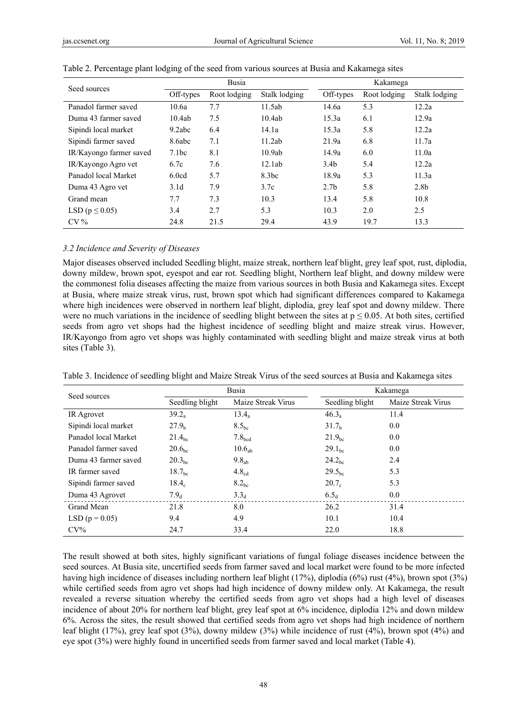| Seed sources            |                   | Busia        |                   |                  | Kakamega     |                  |  |  |
|-------------------------|-------------------|--------------|-------------------|------------------|--------------|------------------|--|--|
|                         | Off-types         | Root lodging | Stalk lodging     | Off-types        | Root lodging | Stalk lodging    |  |  |
| Panadol farmer saved    | 10.6a             | 7.7          | 11.5ab            | 14.6a            | 5.3          | 12.2a            |  |  |
| Duma 43 farmer saved    | 10.4ab            | 7.5          | 10.4ab            | 15.3a            | 6.1          | 12.9a            |  |  |
| Sipindi local market    | 9.2abc            | 6.4          | 14.1a             | 15.3a            | 5.8          | 12.2a            |  |  |
| Sipindi farmer saved    | 8.6abc            | 7.1          | 11.2ab            | 21.9a            | 6.8          | 11.7a            |  |  |
| IR/Kayongo farmer saved | 7.1 <sub>bc</sub> | 8.1          | 10.9ab            | 14.9a            | 6.0          | 11.0a            |  |  |
| IR/Kayongo Agro vet     | 6.7c              | 7.6          | 12.1ab            | 3.4 <sub>b</sub> | 5.4          | 12.2a            |  |  |
| Panadol local Market    | 6.0cd             | 5.7          | 8.3 <sub>bc</sub> | 18.9a            | 5.3          | 11.3a            |  |  |
| Duma 43 Agro vet        | 3.1 <sub>d</sub>  | 7.9          | 3.7c              | 2.7 <sub>b</sub> | 5.8          | 2.8 <sub>b</sub> |  |  |
| Grand mean              | 7.7               | 7.3          | 10.3              | 13.4             | 5.8          | 10.8             |  |  |
| LSD ( $p \le 0.05$ )    | 3.4               | 2.7          | 5.3               | 10.3             | 2.0          | 2.5              |  |  |
| $CV\%$                  | 24.8              | 21.5         | 29.4              | 43.9             | 19.7         | 13.3             |  |  |

|  |  |  | Table 2. Percentage plant lodging of the seed from various sources at Busia and Kakamega sites |
|--|--|--|------------------------------------------------------------------------------------------------|

# *3.2 Incidence and Severity of Diseases*

Major diseases observed included Seedling blight, maize streak, northern leaf blight, grey leaf spot, rust, diplodia, downy mildew, brown spot, eyespot and ear rot. Seedling blight, Northern leaf blight, and downy mildew were the commonest folia diseases affecting the maize from various sources in both Busia and Kakamega sites. Except at Busia, where maize streak virus, rust, brown spot which had significant differences compared to Kakamega where high incidences were observed in northern leaf blight, diplodia, grey leaf spot and downy mildew. There were no much variations in the incidence of seedling blight between the sites at  $p \le 0.05$ . At both sites, certified seeds from agro vet shops had the highest incidence of seedling blight and maize streak virus. However, IR/Kayongo from agro vet shops was highly contaminated with seedling blight and maize streak virus at both sites (Table 3).

| Seed sources         |                    | <b>Busia</b>       | Kakamega           |                    |  |
|----------------------|--------------------|--------------------|--------------------|--------------------|--|
|                      | Seedling blight    | Maize Streak Virus | Seedling blight    | Maize Streak Virus |  |
| IR Agrovet           | $39.2_a$           | $13.4_a$           | $46.3_a$           | 11.4               |  |
| Sipindi local market | 27.9 <sub>h</sub>  | 8.5 <sub>bc</sub>  | 31.7 <sub>h</sub>  | 0.0                |  |
| Panadol local Market | 21.4 <sub>bc</sub> | 7.8 <sub>bcd</sub> | 21.9 <sub>bc</sub> | 0.0                |  |
| Panadol farmer saved | 20.6 <sub>bc</sub> | $10.6_{ab}$        | 29.1 <sub>bc</sub> | 0.0                |  |
| Duma 43 farmer saved | 20.3 <sub>bc</sub> | 9.8 <sub>ab</sub>  | 24.2 <sub>bc</sub> | 2.4                |  |
| IR farmer saved      | 18.7 <sub>bc</sub> | $4.8_{\rm cd}$     | 29.5 <sub>bc</sub> | 5.3                |  |
| Sipindi farmer saved | $18.4_c$           | 8.2 <sub>bc</sub>  | $20.7_c$           | 5.3                |  |
| Duma 43 Agrovet      | $7.9_{d}$          | 3.3 <sub>d</sub>   | 6.5 <sub>d</sub>   | $0.0\,$            |  |
| Grand Mean           | 21.8               | 8.0                | 26.2               | 31.4               |  |
| LSD ( $p = 0.05$ )   | 9.4                | 4.9                | 10.1               | 10.4               |  |
| $CV\%$               | 24.7               | 33.4               | 22.0               | 18.8               |  |

Table 3. Incidence of seedling blight and Maize Streak Virus of the seed sources at Busia and Kakamega sites

The result showed at both sites, highly significant variations of fungal foliage diseases incidence between the seed sources. At Busia site, uncertified seeds from farmer saved and local market were found to be more infected having high incidence of diseases including northern leaf blight (17%), diplodia (6%) rust (4%), brown spot (3%) while certified seeds from agro vet shops had high incidence of downy mildew only. At Kakamega, the result revealed a reverse situation whereby the certified seeds from agro vet shops had a high level of diseases incidence of about 20% for northern leaf blight, grey leaf spot at 6% incidence, diplodia 12% and down mildew 6%. Across the sites, the result showed that certified seeds from agro vet shops had high incidence of northern leaf blight (17%), grey leaf spot (3%), downy mildew (3%) while incidence of rust (4%), brown spot (4%) and eye spot (3%) were highly found in uncertified seeds from farmer saved and local market (Table 4).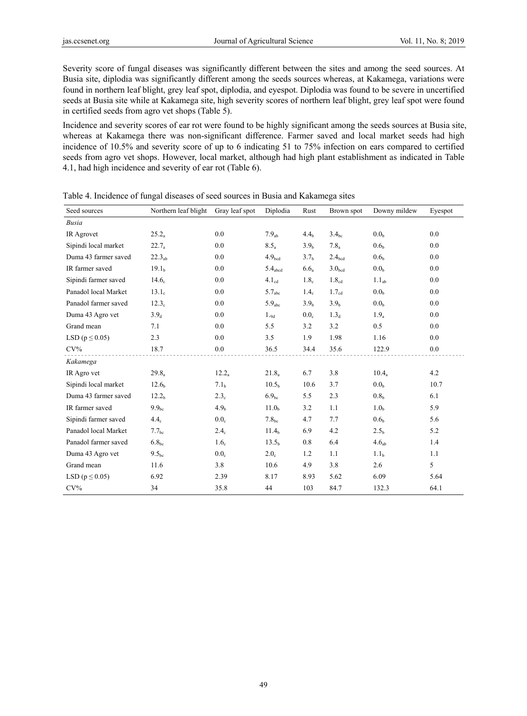Severity score of fungal diseases was significantly different between the sites and among the seed sources. At Busia site, diplodia was significantly different among the seeds sources whereas, at Kakamega, variations were found in northern leaf blight, grey leaf spot, diplodia, and eyespot. Diplodia was found to be severe in uncertified seeds at Busia site while at Kakamega site, high severity scores of northern leaf blight, grey leaf spot were found in certified seeds from agro vet shops (Table 5).

Incidence and severity scores of ear rot were found to be highly significant among the seeds sources at Busia site, whereas at Kakamega there was non-significant difference. Farmer saved and local market seeds had high incidence of 10.5% and severity score of up to 6 indicating 51 to 75% infection on ears compared to certified seeds from agro vet shops. However, local market, although had high plant establishment as indicated in Table 4.1, had high incidence and severity of ear rot (Table 6).

| Seed sources          | Northern leaf blight | Gray leaf spot   | Diplodia            | Rust             | Brown spot         | Downy mildew      | Eyespot |
|-----------------------|----------------------|------------------|---------------------|------------------|--------------------|-------------------|---------|
| <b>Busia</b>          |                      |                  |                     |                  |                    |                   |         |
| IR Agrovet            | $25.2_a$             | 0.0              | 7.9 <sub>ab</sub>   | 4.4 <sub>b</sub> | 3.4 <sub>bc</sub>  | 0.0 <sub>b</sub>  | 0.0     |
| Sipindi local market  | $22.7_a$             | 0.0              | $8.5_a$             | 3.9 <sub>h</sub> | $7.8_a$            | 0.6 <sub>b</sub>  | 0.0     |
| Duma 43 farmer saved  | 22.3 <sub>ab</sub>   | 0.0              | 4.9 <sub>hed</sub>  | 3.7 <sub>h</sub> | 2.4 <sub>bcd</sub> | 0.6 <sub>b</sub>  | 0.0     |
| IR farmer saved       | 19.1 <sub>b</sub>    | 0.0              | 5.4 <sub>abcd</sub> | $6.6_a$          | 3.0 <sub>bcd</sub> | 0.0 <sub>b</sub>  | 0.0     |
| Sipindi farmer saved  | 14.6 <sub>c</sub>    | 0.0              | $4.1_{cd}$          | 1.8 <sub>c</sub> | 1.8 <sub>cd</sub>  | $1.1_{ab}$        | 0.0     |
| Panadol local Market  | 13.1 <sub>c</sub>    | 0.0              | 5.7 <sub>abc</sub>  | 1.4 <sub>c</sub> | 1.7 <sub>cd</sub>  | 0.0 <sub>b</sub>  | 0.0     |
| Panadol farmer saved  | 12.3 <sub>c</sub>    | 0.0              | 5.9 <sub>abc</sub>  | 3.9 <sub>h</sub> | 3.9 <sub>h</sub>   | 0.0 <sub>b</sub>  | 0.0     |
| Duma 43 Agro vet      | 3.9 <sub>d</sub>     | 0.0              | 1.9d                | 0.0 <sub>c</sub> | 1.3 <sub>d</sub>   | $1.9_a$           | 0.0     |
| Grand mean            | 7.1                  | 0.0              | 5.5                 | 3.2              | 3.2                | 0.5               | 0.0     |
| LSD ( $p \leq 0.05$ ) | 2.3                  | 0.0              | 3.5                 | 1.9              | 1.98               | 1.16              | 0.0     |
| $CV\%$                | 18.7                 | 0.0              | 36.5                | 34.4             | 35.6               | 122.9             | 0.0     |
| Kakamega              |                      |                  |                     |                  |                    |                   |         |
| IR Agro vet           | $29.8_a$             | $12.2_a$         | $21.8_a$            | 6.7              | 3.8                | $10.4_a$          | 4.2     |
| Sipindi local market  | 12.6 <sub>b</sub>    | 7.1 <sub>b</sub> | 10.5 <sub>b</sub>   | 10.6             | 3.7                | 0.0 <sub>b</sub>  | 10.7    |
| Duma 43 farmer saved  | 12.2 <sub>b</sub>    | 2.3 <sub>c</sub> | 6.9 <sub>bc</sub>   | 5.5              | 2.3                | 0.8 <sub>b</sub>  | 6.1     |
| IR farmer saved       | $9.9_{bc}$           | 4.9 <sub>h</sub> | 11.0 <sub>b</sub>   | 3.2              | 1.1                | 1.0 <sub>b</sub>  | 5.9     |
| Sipindi farmer saved  | 4.4 <sub>c</sub>     | 0.0 <sub>c</sub> | 7.8 <sub>bc</sub>   | 4.7              | 7.7                | 0.6 <sub>b</sub>  | 5.6     |
| Panadol local Market  | 7.7 <sub>bc</sub>    | 2.4 <sub>c</sub> | 11.4 <sub>b</sub>   | 6.9              | 4.2                | 2.5 <sub>h</sub>  | 5.2     |
| Panadol farmer saved  | 6.8 <sub>bc</sub>    | 1.6 <sub>c</sub> | 13.5 <sub>b</sub>   | 0.8              | 6.4                | 4.6 <sub>ab</sub> | 1.4     |
| Duma 43 Agro vet      | 9.5 <sub>bc</sub>    | 0.0 <sub>c</sub> | 2.0 <sub>c</sub>    | 1.2              | 1.1                | 1.1 <sub>b</sub>  | 1.1     |
| Grand mean            | 11.6                 | 3.8              | 10.6                | 4.9              | 3.8                | 2.6               | 5       |
| LSD ( $p \leq 0.05$ ) | 6.92                 | 2.39             | 8.17                | 8.93             | 5.62               | 6.09              | 5.64    |
| $CV\%$                | 34                   | 35.8             | 44                  | 103              | 84.7               | 132.3             | 64.1    |

Table 4. Incidence of fungal diseases of seed sources in Busia and Kakamega sites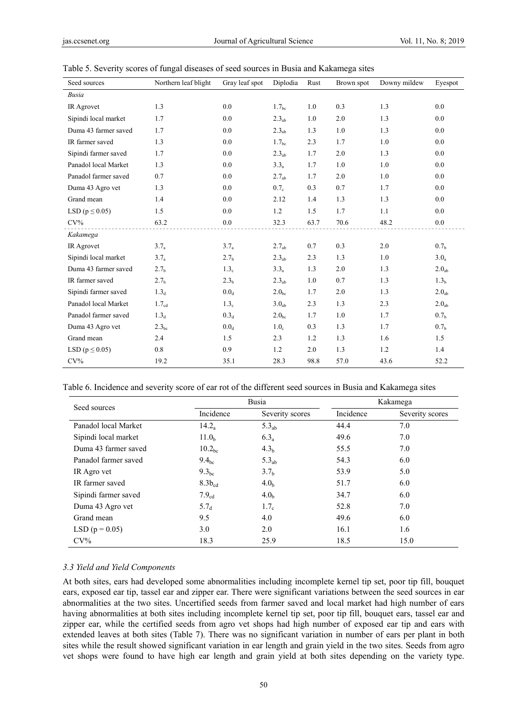| Seed sources          | Northern leaf blight | Gray leaf spot   | Diplodia          | Rust | Brown spot | Downy mildew | Eyespot           |
|-----------------------|----------------------|------------------|-------------------|------|------------|--------------|-------------------|
| <b>Busia</b>          |                      |                  |                   |      |            |              |                   |
| IR Agrovet            | 1.3                  | 0.0              | 1.7 <sub>bc</sub> | 1.0  | 0.3        | 1.3          | 0.0               |
| Sipindi local market  | 1.7                  | 0.0              | 2.3 <sub>ab</sub> | 1.0  | 2.0        | 1.3          | 0.0               |
| Duma 43 farmer saved  | 1.7                  | 0.0              | 2.3 <sub>ab</sub> | 1.3  | 1.0        | 1.3          | 0.0               |
| IR farmer saved       | 1.3                  | 0.0              | 1.7 <sub>bc</sub> | 2.3  | 1.7        | 1.0          | 0.0               |
| Sipindi farmer saved  | 1.7                  | 0.0              | 2.3 <sub>ab</sub> | 1.7  | 2.0        | 1.3          | 0.0               |
| Panadol local Market  | 1.3                  | 0.0              | $3.3_a$           | 1.7  | 1.0        | 1.0          | 0.0               |
| Panadol farmer saved  | 0.7                  | 0.0              | 2.7 <sub>ab</sub> | 1.7  | 2.0        | 1.0          | 0.0               |
| Duma 43 Agro vet      | 1.3                  | 0.0              | 0.7 <sub>c</sub>  | 0.3  | 0.7        | 1.7          | 0.0               |
| Grand mean            | 1.4                  | 0.0              | 2.12              | 1.4  | 1.3        | 1.3          | 0.0               |
| LSD ( $p \leq 0.05$ ) | 1.5                  | 0.0              | 1.2               | 1.5  | 1.7        | 1.1          | 0.0               |
| $CV\%$                | 63.2                 | 0.0              | 32.3              | 63.7 | 70.6       | 48.2         | 0.0               |
| Kakamega              |                      |                  |                   |      |            |              |                   |
| IR Agrovet            | $3.7_a$              | 3.7 <sub>a</sub> | 2.7 <sub>ab</sub> | 0.7  | 0.3        | 2.0          | 0.7 <sub>b</sub>  |
| Sipindi local market  | $3.7_a$              | 2.7 <sub>b</sub> | 2.3 <sub>ab</sub> | 2.3  | 1.3        | 1.0          | $3.0_a$           |
| Duma 43 farmer saved  | 2.7 <sub>h</sub>     | 1.3 <sub>c</sub> | $3.3_a$           | 1.3  | 2.0        | 1.3          | 2.0 <sub>ab</sub> |
| IR farmer saved       | 2.7 <sub>h</sub>     | 2.3 <sub>b</sub> | 2.3 <sub>ab</sub> | 1.0  | 0.7        | 1.3          | 1.3 <sub>b</sub>  |
| Sipindi farmer saved  | 1.3 <sub>d</sub>     | $0.0_d$          | 2.0 <sub>bc</sub> | 1.7  | 2.0        | 1.3          | 2.0 <sub>ab</sub> |
| Panadol local Market  | 1.7 <sub>cd</sub>    | 1.3 <sub>c</sub> | 3.0 <sub>ab</sub> | 2.3  | 1.3        | 2.3          | 2.0 <sub>ab</sub> |
| Panadol farmer saved  | 1.3 <sub>d</sub>     | 0.3 <sub>d</sub> | 2.0 <sub>bc</sub> | 1.7  | 1.0        | 1.7          | 0.7 <sub>b</sub>  |
| Duma 43 Agro vet      | 2.3 <sub>bc</sub>    | $0.0_d$          | 1.0 <sub>c</sub>  | 0.3  | 1.3        | 1.7          | 0.7 <sub>h</sub>  |
| Grand mean            | 2.4                  | 1.5              | 2.3               | 1.2  | 1.3        | 1.6          | 1.5               |
| LSD ( $p \le 0.05$ )  | 0.8                  | 0.9              | 1.2               | 2.0  | 1.3        | 1.2          | 1.4               |
| $CV\%$                | 19.2                 | 35.1             | 28.3              | 98.8 | 57.0       | 43.6         | 52.2              |

|  |  | Table 5. Severity scores of fungal diseases of seed sources in Busia and Kakamega sites |
|--|--|-----------------------------------------------------------------------------------------|
|  |  |                                                                                         |

Table 6. Incidence and severity score of ear rot of the different seed sources in Busia and Kakamega sites

| Seed sources         |                    | Busia             | Kakamega  |                 |  |
|----------------------|--------------------|-------------------|-----------|-----------------|--|
|                      | Incidence          | Severity scores   | Incidence | Severity scores |  |
| Panadol local Market | $14.2_a$           | 5.3 <sub>ab</sub> | 44.4      | 7.0             |  |
| Sipindi local market | 11.0 <sub>b</sub>  | $6.3_a$           | 49.6      | 7.0             |  |
| Duma 43 farmer saved | 10.2 <sub>bc</sub> | 4.3 <sub>b</sub>  | 55.5      | 7.0             |  |
| Panadol farmer saved | 9.4 <sub>bc</sub>  | $5.3_{ab}$        | 54.3      | 6.0             |  |
| IR Agro vet          | 9.3 <sub>bc</sub>  | 3.7 <sub>h</sub>  | 53.9      | 5.0             |  |
| IR farmer saved      | 8.3 <sub>bd</sub>  | 4.0 <sub>b</sub>  | 51.7      | 6.0             |  |
| Sipindi farmer saved | 7.9 <sub>cd</sub>  | 4.0 <sub>b</sub>  | 34.7      | 6.0             |  |
| Duma 43 Agro vet     | 5.7 <sub>d</sub>   | 1.7 <sub>c</sub>  | 52.8      | 7.0             |  |
| Grand mean           | 9.5                | 4.0               | 49.6      | 6.0             |  |
| LSD ( $p = 0.05$ )   | 3.0                | 2.0               | 16.1      | 1.6             |  |
| $CV\%$               | 18.3               | 25.9              | 18.5      | 15.0            |  |

#### *3.3 Yield and Yield Components*

At both sites, ears had developed some abnormalities including incomplete kernel tip set, poor tip fill, bouquet ears, exposed ear tip, tassel ear and zipper ear. There were significant variations between the seed sources in ear abnormalities at the two sites. Uncertified seeds from farmer saved and local market had high number of ears having abnormalities at both sites including incomplete kernel tip set, poor tip fill, bouquet ears, tassel ear and zipper ear, while the certified seeds from agro vet shops had high number of exposed ear tip and ears with extended leaves at both sites (Table 7). There was no significant variation in number of ears per plant in both sites while the result showed significant variation in ear length and grain yield in the two sites. Seeds from agro vet shops were found to have high ear length and grain yield at both sites depending on the variety type.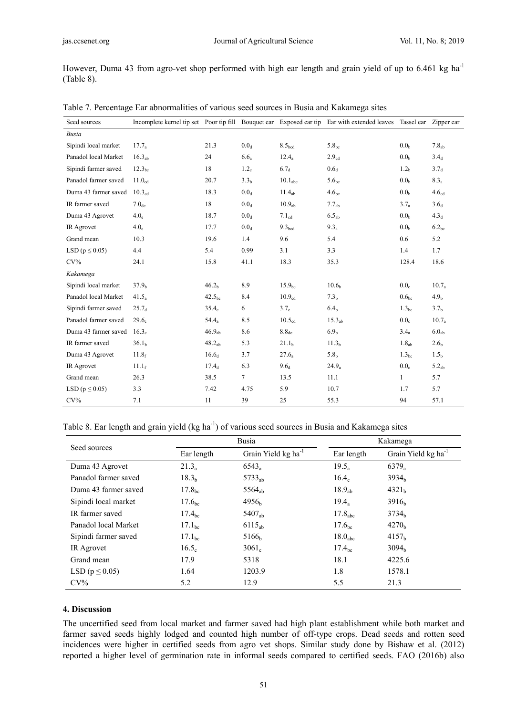However, Duma 43 from agro-vet shop performed with high ear length and grain yield of up to 6.461 kg ha<sup>-1</sup> (Table 8).

| Seed sources         |                    |                    |                  |                     | Incomplete kernel tip set Poor tip fill Bouquet ear Exposed ear tip Ear with extended leaves Tassel ear Zipper ear |                   |                   |
|----------------------|--------------------|--------------------|------------------|---------------------|--------------------------------------------------------------------------------------------------------------------|-------------------|-------------------|
| <b>Busia</b>         |                    |                    |                  |                     |                                                                                                                    |                   |                   |
| Sipindi local market | $17.7_a$           | 21.3               | $0.0_d$          | 8.5 <sub>bcd</sub>  | 5.8 <sub>bc</sub>                                                                                                  | 0.0 <sub>b</sub>  | 7.8 <sub>ab</sub> |
| Panadol local Market | 16.3 <sub>ab</sub> | 24                 | 6.6 <sub>a</sub> | $12.4_a$            | 2.9 <sub>cd</sub>                                                                                                  | 0.0 <sub>b</sub>  | 3.4 <sub>d</sub>  |
| Sipindi farmer saved | 12.3 <sub>bc</sub> | 18                 | 1.2 <sub>c</sub> | 6.7 <sub>d</sub>    | 0.6 <sub>d</sub>                                                                                                   | 1.2 <sub>b</sub>  | 3.7 <sub>d</sub>  |
| Panadol farmer saved | 11.0 <sub>cd</sub> | 20.7               | 3.3 <sub>h</sub> | 10.1 <sub>abc</sub> | 5.6 <sub>bc</sub>                                                                                                  | 0.0 <sub>b</sub>  | 8.3 <sub>a</sub>  |
| Duma 43 farmer saved | 10.3 <sub>cd</sub> | 18.3               | $0.0_d$          | 11.4 <sub>ab</sub>  | 4.6 <sub>bc</sub>                                                                                                  | 0.0 <sub>b</sub>  | 4.6 <sub>cd</sub> |
| IR farmer saved      | 7.0 <sub>de</sub>  | 18                 | 0.0 <sub>d</sub> | 10.9 <sub>ab</sub>  | 7.7 <sub>ab</sub>                                                                                                  | $3.7_a$           | 3.6 <sub>d</sub>  |
| Duma 43 Agrovet      | 4.0 <sub>e</sub>   | 18.7               | $0.0_d$          | $7.1_{cd}$          | 6.5 <sub>ab</sub>                                                                                                  | 0.0 <sub>b</sub>  | 4.3 <sub>d</sub>  |
| IR Agrovet           | 4.0 <sub>e</sub>   | 17.7               | $0.0_d$          | 9.3 <sub>bcd</sub>  | $9.3_a$                                                                                                            | 0.0 <sub>h</sub>  | 6.2 <sub>bc</sub> |
| Grand mean           | 10.3               | 19.6               | 1.4              | 9.6                 | 5.4                                                                                                                | 0.6               | 5.2               |
| LSD ( $p \le 0.05$ ) | 4.4                | 5.4                | 0.99             | 3.1                 | 3.3                                                                                                                | 1.4               | 1.7               |
| $CV\%$               | 24.1               | 15.8               | 41.1             | 18.3                | 35.3                                                                                                               | 128.4             | 18.6              |
| Kakamega             |                    |                    |                  |                     |                                                                                                                    |                   |                   |
| Sipindi local market | 37.9 <sub>b</sub>  | 46.2 <sub>b</sub>  | 8.9              | 15.9 <sub>bc</sub>  | 10.6 <sub>b</sub>                                                                                                  | 0.0 <sub>c</sub>  | 10.7 <sub>a</sub> |
| Panadol local Market | $41.5_a$           | 42.5 <sub>bc</sub> | 8.4              | 10.9 <sub>cd</sub>  | 7.3 <sub>h</sub>                                                                                                   | 0.6 <sub>bc</sub> | 4.9 <sub>h</sub>  |
| Sipindi farmer saved | 25.7 <sub>d</sub>  | $35.4_c$           | 6                | 3.7 <sub>e</sub>    | 6.4 <sub>h</sub>                                                                                                   | 1.3 <sub>he</sub> | 3.7 <sub>h</sub>  |
| Panadol farmer saved | 29.6 <sub>c</sub>  | $54.4_a$           | 8.5              | 10.5 <sub>cd</sub>  | 15.3 <sub>ab</sub>                                                                                                 | 0.0 <sub>c</sub>  | 10.7 <sub>a</sub> |
| Duma 43 farmer saved | 16.3 <sub>e</sub>  | $46.9_{ab}$        | 8.6              | $8.8_{de}$          | 6.9 <sub>b</sub>                                                                                                   | $3.4_a$           | 6.0 <sub>ab</sub> |
| IR farmer saved      | 36.1 <sub>h</sub>  | 48.2 <sub>ab</sub> | 5.3              | 21.1 <sub>b</sub>   | 11.3 <sub>b</sub>                                                                                                  | 1.8 <sub>ab</sub> | 2.6 <sub>b</sub>  |
| Duma 43 Agrovet      | 11.8 <sub>f</sub>  | 16.6 <sub>d</sub>  | 3.7              | $27.6_a$            | 5.8 <sub>h</sub>                                                                                                   | 1.3 <sub>he</sub> | 1.5 <sub>h</sub>  |
| IR Agrovet           | 11.1 <sub>f</sub>  | 17.4 <sub>d</sub>  | 6.3              | 9.6 <sub>d</sub>    | $24.9_a$                                                                                                           | 0.0 <sub>c</sub>  | 5.2 <sub>ab</sub> |
| Grand mean           | 26.3               | 38.5               | 7                | 13.5                | 11.1                                                                                                               | $\mathbf{1}$      | 5.7               |
| LSD ( $p \le 0.05$ ) | 3.3                | 7.42               | 4.75             | 5.9                 | 10.7                                                                                                               | 1.7               | 5.7               |
| $CV\%$               | 7.1                | 11                 | 39               | 25                  | 55.3                                                                                                               | 94                | 57.1              |

Table 7. Percentage Ear abnormalities of various seed sources in Busia and Kakamega sites

Table 8. Ear length and grain yield (kg ha<sup>-1</sup>) of various seed sources in Busia and Kakamega sites

| Seed sources         |                    | Busia                           |                     | Kakamega                        |  |  |
|----------------------|--------------------|---------------------------------|---------------------|---------------------------------|--|--|
|                      | Ear length         | Grain Yield kg ha <sup>-1</sup> | Ear length          | Grain Yield kg ha <sup>-1</sup> |  |  |
| Duma 43 Agrovet      | $21.3_a$           | $6543_a$                        | $19.5_a$            | 6379 <sub>a</sub>               |  |  |
| Panadol farmer saved | 18.3 <sub>h</sub>  | $5733_{\rm ab}$                 | $16.4_c$            | 3934 <sub>h</sub>               |  |  |
| Duma 43 farmer saved | 17.8 <sub>bc</sub> | $5564_{\rm ab}$                 | 18.9 <sub>ab</sub>  | 4321 <sub>h</sub>               |  |  |
| Sipindi local market | 17.6 <sub>bc</sub> | 4956 <sub>b</sub>               | $19.4_a$            | 3916 <sub>b</sub>               |  |  |
| IR farmer saved      | 17.4 <sub>bc</sub> | $5407_{\rm ah}$                 | 17.8 <sub>abc</sub> | 3734 <sub>h</sub>               |  |  |
| Panadol local Market | 17.1 <sub>bc</sub> | $6115_{ab}$                     | 17.6 <sub>bc</sub>  | 4270 <sub>h</sub>               |  |  |
| Sipindi farmer saved | 17.1 <sub>bc</sub> | 5166 <sub>b</sub>               | 18.0 <sub>abc</sub> | 4157 <sub>h</sub>               |  |  |
| IR Agrovet           | $16.5_c$           | $3061_c$                        | 17.4 <sub>bc</sub>  | 3094 <sub>b</sub>               |  |  |
| Grand mean           | 17.9               | 5318                            | 18.1                | 4225.6                          |  |  |
| LSD ( $p \le 0.05$ ) | 1.64               | 1203.9                          | 1.8                 | 1578.1                          |  |  |
| $CV\%$               | 5.2                | 12.9                            | 5.5                 | 21.3                            |  |  |

# **4. Discussion**

The uncertified seed from local market and farmer saved had high plant establishment while both market and farmer saved seeds highly lodged and counted high number of off-type crops. Dead seeds and rotten seed incidences were higher in certified seeds from agro vet shops. Similar study done by Bishaw et al. (2012) reported a higher level of germination rate in informal seeds compared to certified seeds. FAO (2016b) also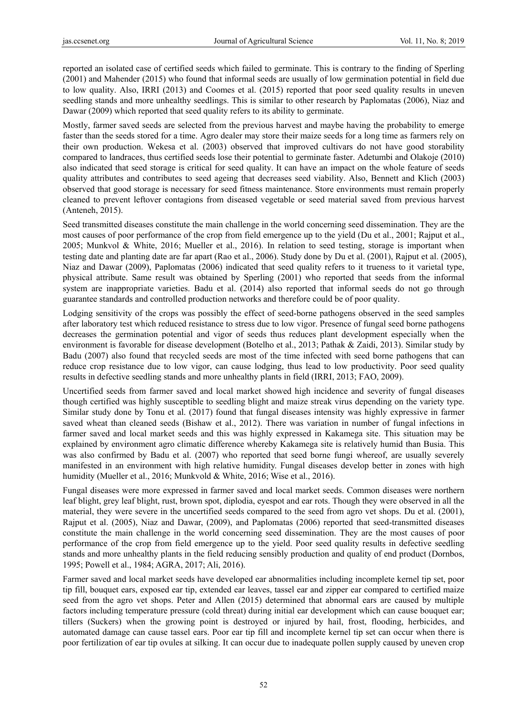reported an isolated case of certified seeds which failed to germinate. This is contrary to the finding of Sperling (2001) and Mahender (2015) who found that informal seeds are usually of low germination potential in field due to low quality. Also, IRRI (2013) and Coomes et al. (2015) reported that poor seed quality results in uneven seedling stands and more unhealthy seedlings. This is similar to other research by Paplomatas (2006), Niaz and Dawar (2009) which reported that seed quality refers to its ability to germinate.

Mostly, farmer saved seeds are selected from the previous harvest and maybe having the probability to emerge faster than the seeds stored for a time. Agro dealer may store their maize seeds for a long time as farmers rely on their own production. Wekesa et al. (2003) observed that improved cultivars do not have good storability compared to landraces, thus certified seeds lose their potential to germinate faster. Adetumbi and Olakoje (2010) also indicated that seed storage is critical for seed quality. It can have an impact on the whole feature of seeds quality attributes and contributes to seed ageing that decreases seed viability. Also, Bennett and Klich (2003) observed that good storage is necessary for seed fitness maintenance. Store environments must remain properly cleaned to prevent leftover contagions from diseased vegetable or seed material saved from previous harvest (Anteneh, 2015).

Seed transmitted diseases constitute the main challenge in the world concerning seed dissemination. They are the most causes of poor performance of the crop from field emergence up to the yield (Du et al., 2001; Rajput et al., 2005; Munkvol & White, 2016; Mueller et al., 2016). In relation to seed testing, storage is important when testing date and planting date are far apart (Rao et al., 2006). Study done by Du et al. (2001), Rajput et al. (2005), Niaz and Dawar (2009), Paplomatas (2006) indicated that seed quality refers to it trueness to it varietal type, physical attribute. Same result was obtained by Sperling (2001) who reported that seeds from the informal system are inappropriate varieties. Badu et al. (2014) also reported that informal seeds do not go through guarantee standards and controlled production networks and therefore could be of poor quality.

Lodging sensitivity of the crops was possibly the effect of seed-borne pathogens observed in the seed samples after laboratory test which reduced resistance to stress due to low vigor. Presence of fungal seed borne pathogens decreases the germination potential and vigor of seeds thus reduces plant development especially when the environment is favorable for disease development (Botelho et al., 2013; Pathak & Zaidi, 2013). Similar study by Badu (2007) also found that recycled seeds are most of the time infected with seed borne pathogens that can reduce crop resistance due to low vigor, can cause lodging, thus lead to low productivity. Poor seed quality results in defective seedling stands and more unhealthy plants in field (IRRI, 2013; FAO, 2009).

Uncertified seeds from farmer saved and local market showed high incidence and severity of fungal diseases though certified was highly susceptible to seedling blight and maize streak virus depending on the variety type. Similar study done by Tonu et al. (2017) found that fungal diseases intensity was highly expressive in farmer saved wheat than cleaned seeds (Bishaw et al., 2012). There was variation in number of fungal infections in farmer saved and local market seeds and this was highly expressed in Kakamega site. This situation may be explained by environment agro climatic difference whereby Kakamega site is relatively humid than Busia. This was also confirmed by Badu et al. (2007) who reported that seed borne fungi whereof, are usually severely manifested in an environment with high relative humidity. Fungal diseases develop better in zones with high humidity (Mueller et al., 2016; Munkvold & White, 2016; Wise et al., 2016).

Fungal diseases were more expressed in farmer saved and local market seeds. Common diseases were northern leaf blight, grey leaf blight, rust, brown spot, diplodia, eyespot and ear rots. Though they were observed in all the material, they were severe in the uncertified seeds compared to the seed from agro vet shops. Du et al. (2001), Rajput et al. (2005), Niaz and Dawar, (2009), and Paplomatas (2006) reported that seed-transmitted diseases constitute the main challenge in the world concerning seed dissemination. They are the most causes of poor performance of the crop from field emergence up to the yield. Poor seed quality results in defective seedling stands and more unhealthy plants in the field reducing sensibly production and quality of end product (Dornbos, 1995; Powell et al., 1984; AGRA, 2017; Ali, 2016).

Farmer saved and local market seeds have developed ear abnormalities including incomplete kernel tip set, poor tip fill, bouquet ears, exposed ear tip, extended ear leaves, tassel ear and zipper ear compared to certified maize seed from the agro vet shops. Peter and Allen (2015) determined that abnormal ears are caused by multiple factors including temperature pressure (cold threat) during initial ear development which can cause bouquet ear; tillers (Suckers) when the growing point is destroyed or injured by hail, frost, flooding, herbicides, and automated damage can cause tassel ears. Poor ear tip fill and incomplete kernel tip set can occur when there is poor fertilization of ear tip ovules at silking. It can occur due to inadequate pollen supply caused by uneven crop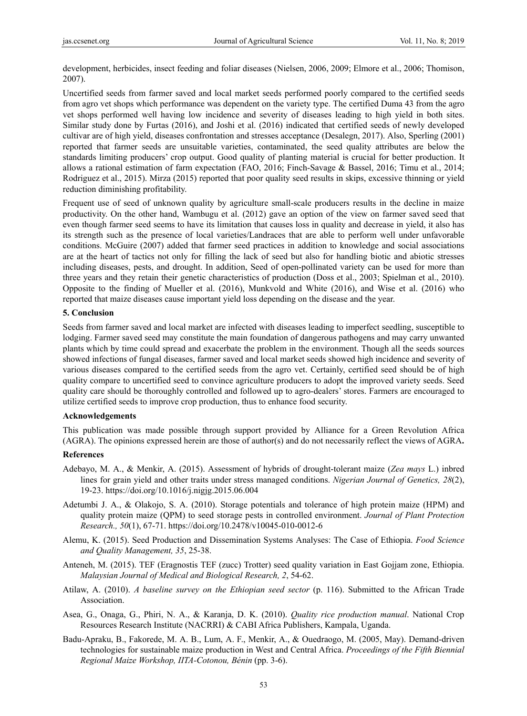development, herbicides, insect feeding and foliar diseases (Nielsen, 2006, 2009; Elmore et al., 2006; Thomison, 2007).

Uncertified seeds from farmer saved and local market seeds performed poorly compared to the certified seeds from agro vet shops which performance was dependent on the variety type. The certified Duma 43 from the agro vet shops performed well having low incidence and severity of diseases leading to high yield in both sites. Similar study done by Furtas (2016), and Joshi et al. (2016) indicated that certified seeds of newly developed cultivar are of high yield, diseases confrontation and stresses acceptance (Desalegn, 2017). Also, Sperling (2001) reported that farmer seeds are unsuitable varieties, contaminated, the seed quality attributes are below the standards limiting producers' crop output. Good quality of planting material is crucial for better production. It allows a rational estimation of farm expectation (FAO, 2016; Finch-Savage & Bassel, 2016; Timu et al., 2014; Rodriguez et al., 2015). Mirza (2015) reported that poor quality seed results in skips, excessive thinning or yield reduction diminishing profitability.

Frequent use of seed of unknown quality by agriculture small-scale producers results in the decline in maize productivity. On the other hand, Wambugu et al. (2012) gave an option of the view on farmer saved seed that even though farmer seed seems to have its limitation that causes loss in quality and decrease in yield, it also has its strength such as the presence of local varieties/Landraces that are able to perform well under unfavorable conditions. McGuire (2007) added that farmer seed practices in addition to knowledge and social associations are at the heart of tactics not only for filling the lack of seed but also for handling biotic and abiotic stresses including diseases, pests, and drought. In addition, Seed of open-pollinated variety can be used for more than three years and they retain their genetic characteristics of production (Doss et al., 2003; Spielman et al., 2010). Opposite to the finding of Mueller et al. (2016), Munkvold and White (2016), and Wise et al. (2016) who reported that maize diseases cause important yield loss depending on the disease and the year.

# **5. Conclusion**

Seeds from farmer saved and local market are infected with diseases leading to imperfect seedling, susceptible to lodging. Farmer saved seed may constitute the main foundation of dangerous pathogens and may carry unwanted plants which by time could spread and exacerbate the problem in the environment. Though all the seeds sources showed infections of fungal diseases, farmer saved and local market seeds showed high incidence and severity of various diseases compared to the certified seeds from the agro vet. Certainly, certified seed should be of high quality compare to uncertified seed to convince agriculture producers to adopt the improved variety seeds. Seed quality care should be thoroughly controlled and followed up to agro-dealers' stores. Farmers are encouraged to utilize certified seeds to improve crop production, thus to enhance food security.

# **Acknowledgements**

This publication was made possible through support provided by Alliance for a Green Revolution Africa (AGRA). The opinions expressed herein are those of author(s) and do not necessarily reflect the views of AGRA**.** 

# **References**

- Adebayo, M. A., & Menkir, A. (2015). Assessment of hybrids of drought-tolerant maize (*Zea mays* L.) inbred lines for grain yield and other traits under stress managed conditions. *Nigerian Journal of Genetics, 28*(2), 19-23. https://doi.org/10.1016/j.nigjg.2015.06.004
- Adetumbi J. A., & Olakojo, S. A. (2010). Storage potentials and tolerance of high protein maize (HPM) and quality protein maize (QPM) to seed storage pests in controlled environment. *Journal of Plant Protection Research., 50*(1), 67-71. https://doi.org/10.2478/v10045-010-0012-6
- Alemu, K. (2015). Seed Production and Dissemination Systems Analyses: The Case of Ethiopia. *Food Science and Quality Management, 35*, 25-38.
- Anteneh, M. (2015). TEF (Eragnostis TEF (zucc) Trotter) seed quality variation in East Gojjam zone, Ethiopia. *Malaysian Journal of Medical and Biological Research, 2*, 54-62.
- Atilaw, A. (2010). *A baseline survey on the Ethiopian seed sector* (p. 116). Submitted to the African Trade Association.
- Asea, G., Onaga, G., Phiri, N. A., & Karanja, D. K. (2010). *Quality rice production manual*. National Crop Resources Research Institute (NACRRI) & CABI Africa Publishers, Kampala, Uganda.
- Badu-Apraku, B., Fakorede, M. A. B., Lum, A. F., Menkir, A., & Ouedraogo, M. (2005, May). Demand-driven technologies for sustainable maize production in West and Central Africa. *Proceedings of the Fifth Biennial Regional Maize Workshop, IITA-Cotonou, Bénin* (pp. 3-6).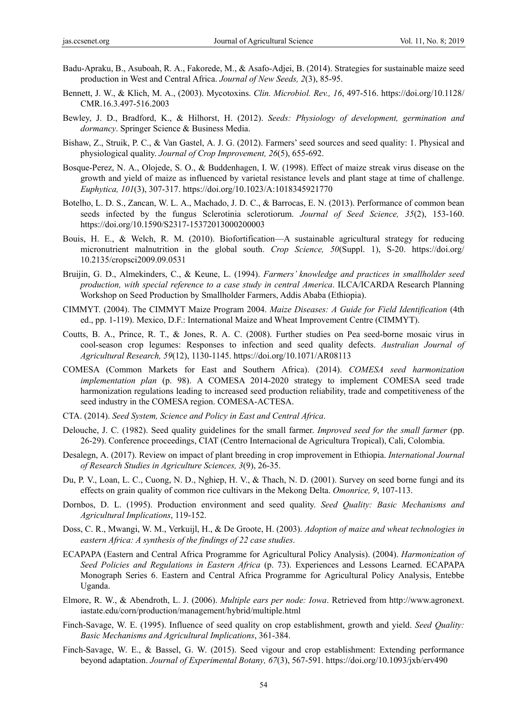- Badu-Apraku, B., Asuboah, R. A., Fakorede, M., & Asafo-Adjei, B. (2014). Strategies for sustainable maize seed production in West and Central Africa. *Journal of New Seeds, 2*(3), 85-95.
- Bennett, J. W., & Klich, M. A., (2003). Mycotoxins. *Clin. Microbiol. Rev., 16*, 497-516. https://doi.org/10.1128/ CMR.16.3.497-516.2003
- Bewley, J. D., Bradford, K., & Hilhorst, H. (2012). *Seeds: Physiology of development, germination and dormancy*. Springer Science & Business Media.
- Bishaw, Z., Struik, P. C., & Van Gastel, A. J. G. (2012). Farmers' seed sources and seed quality: 1. Physical and physiological quality. *Journal of Crop Improvement, 26*(5), 655-692.
- Bosque-Perez, N. A., Olojede, S. O., & Buddenhagen, I. W. (1998). Effect of maize streak virus disease on the growth and yield of maize as influenced by varietal resistance levels and plant stage at time of challenge. *Euphytica, 101*(3), 307-317. https://doi.org/10.1023/A:1018345921770
- Botelho, L. D. S., Zancan, W. L. A., Machado, J. D. C., & Barrocas, E. N. (2013). Performance of common bean seeds infected by the fungus Sclerotinia sclerotiorum. *Journal of Seed Science, 35*(2), 153-160. https://doi.org/10.1590/S2317-15372013000200003
- Bouis, H. E., & Welch, R. M. (2010). Biofortification—A sustainable agricultural strategy for reducing micronutrient malnutrition in the global south. *Crop Science, 50*(Suppl. 1), S-20. https://doi.org/ 10.2135/cropsci2009.09.0531
- Bruijin, G. D., Almekinders, C., & Keune, L. (1994). *Farmers' knowledge and practices in smallholder seed production, with special reference to a case study in central America*. ILCA/ICARDA Research Planning Workshop on Seed Production by Smallholder Farmers, Addis Ababa (Ethiopia).
- CIMMYT. (2004). The CIMMYT Maize Program 2004. *Maize Diseases: A Guide for Field Identification* (4th ed., pp. 1-119). Mexico, D.F.: International Maize and Wheat Improvement Centre (CIMMYT).
- Coutts, B. A., Prince, R. T., & Jones, R. A. C. (2008). Further studies on Pea seed-borne mosaic virus in cool-season crop legumes: Responses to infection and seed quality defects. *Australian Journal of Agricultural Research, 59*(12), 1130-1145. https://doi.org/10.1071/AR08113
- COMESA (Common Markets for East and Southern Africa). (2014). *COMESA seed harmonization implementation plan* (p. 98). A COMESA 2014-2020 strategy to implement COMESA seed trade harmonization regulations leading to increased seed production reliability, trade and competitiveness of the seed industry in the COMESA region. COMESA-ACTESA.
- CTA. (2014). *Seed System, Science and Policy in East and Central Africa*.
- Delouche, J. C. (1982). Seed quality guidelines for the small farmer. *Improved seed for the small farmer* (pp. 26-29). Conference proceedings, CIAT (Centro Internacional de Agricultura Tropical), Cali, Colombia.
- Desalegn, A. (2017). Review on impact of plant breeding in crop improvement in Ethiopia. *International Journal of Research Studies in Agriculture Sciences, 3*(9), 26-35.
- Du, P. V., Loan, L. C., Cuong, N. D., Nghiep, H. V., & Thach, N. D. (2001). Survey on seed borne fungi and its effects on grain quality of common rice cultivars in the Mekong Delta. *Omonrice, 9*, 107-113.
- Dornbos, D. L. (1995). Production environment and seed quality. *Seed Quality: Basic Mechanisms and Agricultural Implications*, 119-152.
- Doss, C. R., Mwangi, W. M., Verkuijl, H., & De Groote, H. (2003). *Adoption of maize and wheat technologies in eastern Africa: A synthesis of the findings of 22 case studies*.
- ECAPAPA (Eastern and Central Africa Programme for Agricultural Policy Analysis). (2004). *Harmonization of Seed Policies and Regulations in Eastern Africa* (p. 73). Experiences and Lessons Learned. ECAPAPA Monograph Series 6. Eastern and Central Africa Programme for Agricultural Policy Analysis, Entebbe Uganda.
- Elmore, R. W., & Abendroth, L. J. (2006). *Multiple ears per node: Iowa*. Retrieved from http://www.agronext. iastate.edu/corn/production/management/hybrid/multiple.html
- Finch-Savage, W. E. (1995). Influence of seed quality on crop establishment, growth and yield. *Seed Quality: Basic Mechanisms and Agricultural Implications*, 361-384.
- Finch-Savage, W. E., & Bassel, G. W. (2015). Seed vigour and crop establishment: Extending performance beyond adaptation. *Journal of Experimental Botany, 67*(3), 567-591. https://doi.org/10.1093/jxb/erv490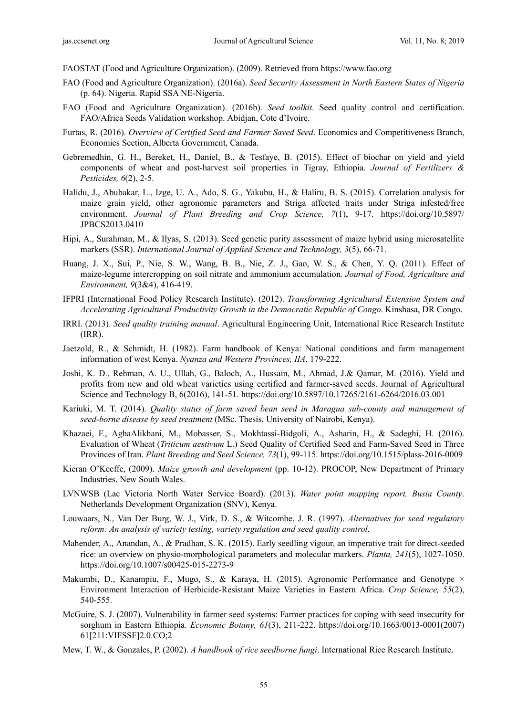FAOSTAT (Food and Agriculture Organization). (2009). Retrieved from https://www.fao.org

- FAO (Food and Agriculture Organization). (2016a). *Seed Security Assessment in North Eastern States of Nigeria*  (p. 64). Nigeria. Rapid SSA NE-Nigeria.
- FAO (Food and Agriculture Organization). (2016b). *Seed toolkit*. Seed quality control and certification. FAO/Africa Seeds Validation workshop. Abidjan, Cote d'Ivoire.
- Furtas, R. (2016). *Overview of Certified Seed and Farmer Saved Seed*. Economics and Competitiveness Branch, Economics Section, Alberta Government, Canada.
- Gebremedhin, G. H., Bereket, H., Daniel, B., & Tesfaye, B. (2015). Effect of biochar on yield and yield components of wheat and post-harvest soil properties in Tigray, Ethiopia. *Journal of Fertilizers & Pesticides, 6*(2), 2-5.
- Halidu, J., Abubakar, L., Izge, U. A., Ado, S. G., Yakubu, H., & Haliru, B. S. (2015). Correlation analysis for maize grain yield, other agronomic parameters and Striga affected traits under Striga infested/free environment. *Journal of Plant Breeding and Crop Science, 7*(1), 9-17. https://doi.org/10.5897/ JPBCS2013.0410
- Hipi, A., Surahman, M., & Ilyas, S. (2013). Seed genetic purity assessment of maize hybrid using microsatellite markers (SSR). *International Journal of Applied Science and Technology, 3*(5), 66-71.
- Huang, J. X., Sui, P., Nie, S. W., Wang, B. B., Nie, Z. J., Gao, W. S., & Chen, Y. Q. (2011). Effect of maize-legume intercropping on soil nitrate and ammonium accumulation. *Journal of Food, Agriculture and Environment, 9*(3&4), 416-419.
- IFPRI (International Food Policy Research Institute). (2012). *Transforming Agricultural Extension System and Accelerating Agricultural Productivity Growth in the Democratic Republic of Congo*. Kinshasa, DR Congo.
- IRRI. (2013). *Seed quality training manual*. Agricultural Engineering Unit, International Rice Research Institute (IRR).
- Jaetzold, R., & Schmidt, H. (1982). Farm handbook of Kenya: National conditions and farm management information of west Kenya. *Nyanza and Western Provinces, IIA*, 179-222.
- Joshi, K. D., Rehman, A. U., Ullah, G., Baloch, A., Hussain, M., Ahmad, J.& Qamar, M. (2016). Yield and profits from new and old wheat varieties using certified and farmer-saved seeds. Journal of Agricultural Science and Technology B, 6(2016), 141-51. https://doi.org/10.5897/10.17265/2161-6264/2016.03.001
- Kariuki, M. T. (2014). *Quality status of farm saved bean seed in Maragua sub-county and management of seed-borne disease by seed treatment* (MSc. Thesis, University of Nairobi, Kenya).
- Khazaei, F., AghaAlikhani, M., Mobasser, S., Mokhtassi-Bidgoli, A., Asharin, H., & Sadeghi, H. (2016). Evaluation of Wheat (*Triticum aestivum* L.) Seed Quality of Certified Seed and Farm-Saved Seed in Three Provinces of Iran. *Plant Breeding and Seed Science, 73*(1), 99-115. https://doi.org/10.1515/plass-2016-0009
- Kieran O'Keeffe, (2009). *Maize growth and development* (pp. 10-12). PROCOP, New Department of Primary Industries, New South Wales.
- LVNWSB (Lac Victoria North Water Service Board). (2013). *Water point mapping report, Busia County*. Netherlands Development Organization (SNV), Kenya.
- Louwaars, N., Van Der Burg, W. J., Virk, D. S., & Witcombe, J. R. (1997). *Alternatives for seed regulatory reform: An analysis of variety testing, variety regulation and seed quality control*.
- Mahender, A., Anandan, A., & Pradhan, S. K. (2015). Early seedling vigour, an imperative trait for direct-seeded rice: an overview on physio-morphological parameters and molecular markers. *Planta, 241*(5), 1027-1050. https://doi.org/10.1007/s00425-015-2273-9
- Makumbi, D., Kanampiu, F., Mugo, S., & Karaya, H. (2015). Agronomic Performance and Genotype  $\times$ Environment Interaction of Herbicide-Resistant Maize Varieties in Eastern Africa. *Crop Science, 55*(2), 540-555.
- McGuire, S. J. (2007). Vulnerability in farmer seed systems: Farmer practices for coping with seed insecurity for sorghum in Eastern Ethiopia. *Economic Botany, 61*(3), 211-222. https://doi.org/10.1663/0013-0001(2007) 61[211:VIFSSF]2.0.CO;2
- Mew, T. W., & Gonzales, P. (2002). *A handbook of rice seedborne fungi*. International Rice Research Institute.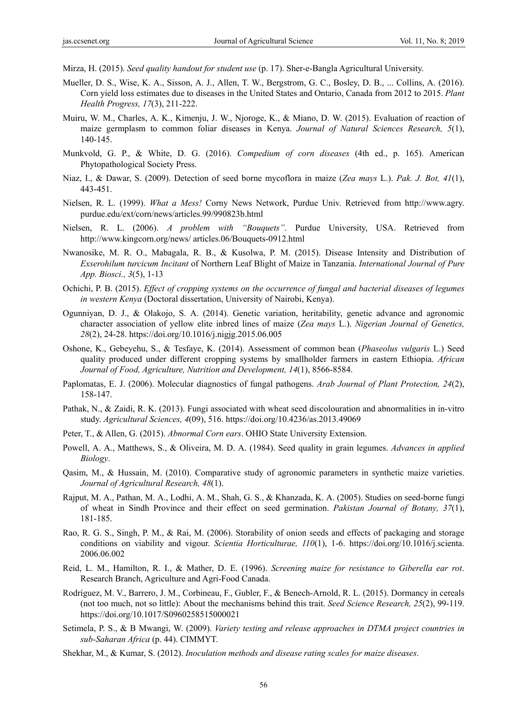Mirza, H. (2015). *Seed quality handout for student use* (p. 17). Sher-e-Bangla Agricultural University.

- Mueller, D. S., Wise, K. A., Sisson, A. J., Allen, T. W., Bergstrom, G. C., Bosley, D. B., ... Collins, A. (2016). Corn yield loss estimates due to diseases in the United States and Ontario, Canada from 2012 to 2015. *Plant Health Progress, 17*(3), 211-222.
- Muiru, W. M., Charles, A. K., Kimenju, J. W., Njoroge, K., & Miano, D. W. (2015). Evaluation of reaction of maize germplasm to common foliar diseases in Kenya. *Journal of Natural Sciences Research, 5*(1), 140-145.
- Munkvold, G. P., & White, D. G. (2016). *Compedium of corn diseases* (4th ed., p. 165). American Phytopathological Society Press.
- Niaz, I., & Dawar, S. (2009). Detection of seed borne mycoflora in maize (*Zea mays* L.). *Pak. J. Bot, 41*(1), 443-451.
- Nielsen, R. L. (1999). *What a Mess!* Corny News Network, Purdue Univ. Retrieved from http://www.agry. purdue.edu/ext/corn/news/articles.99/990823b.html
- Nielsen, R. L. (2006). *A problem with "Bouquets"*. Purdue University, USA. Retrieved from http://www.kingcorn.org/news/ articles.06/Bouquets-0912.html
- Nwanosike, M. R. O., Mabagala, R. B., & Kusolwa, P. M. (2015). Disease Intensity and Distribution of *Exserohilum turcicum Incitant* of Northern Leaf Blight of Maize in Tanzania. *International Journal of Pure App. Biosci., 3*(5), 1-13
- Ochichi, P. B. (2015). *Effect of cropping systems on the occurrence of fungal and bacterial diseases of legumes in western Kenya* (Doctoral dissertation, University of Nairobi, Kenya).
- Ogunniyan, D. J., & Olakojo, S. A. (2014). Genetic variation, heritability, genetic advance and agronomic character association of yellow elite inbred lines of maize (*Zea mays* L.). *Nigerian Journal of Genetics, 28*(2), 24-28. https://doi.org/10.1016/j.nigjg.2015.06.005
- Oshone, K., Gebeyehu, S., & Tesfaye, K. (2014). Assessment of common bean (*Phaseolus vulgaris* L.) Seed quality produced under different cropping systems by smallholder farmers in eastern Ethiopia. *African Journal of Food, Agriculture, Nutrition and Development, 14*(1), 8566-8584.
- Paplomatas, E. J. (2006). Molecular diagnostics of fungal pathogens. *Arab Journal of Plant Protection, 24*(2), 158-147.
- Pathak, N., & Zaidi, R. K. (2013). Fungi associated with wheat seed discolouration and abnormalities in in-vitro study. *Agricultural Sciences, 4*(09), 516. https://doi.org/10.4236/as.2013.49069
- Peter, T., & Allen, G. (2015). *Abnormal Corn ears*. OHIO State University Extension.
- Powell, A. A., Matthews, S., & Oliveira, M. D. A. (1984). Seed quality in grain legumes. *Advances in applied Biology*.
- Qasim, M., & Hussain, M. (2010). Comparative study of agronomic parameters in synthetic maize varieties. *Journal of Agricultural Research, 48*(1).
- Rajput, M. A., Pathan, M. A., Lodhi, A. M., Shah, G. S., & Khanzada, K. A. (2005). Studies on seed-borne fungi of wheat in Sindh Province and their effect on seed germination. *Pakistan Journal of Botany, 37*(1), 181-185.
- Rao, R. G. S., Singh, P. M., & Rai, M. (2006). Storability of onion seeds and effects of packaging and storage conditions on viability and vigour. *Scientia Horticulturae, 110*(1), 1-6. https://doi.org/10.1016/j.scienta. 2006.06.002
- Reid, L. M., Hamilton, R. I., & Mather, D. E. (1996). *Screening maize for resistance to Giberella ear rot*. Research Branch, Agriculture and Agri-Food Canada.
- Rodríguez, M. V., Barrero, J. M., Corbineau, F., Gubler, F., & Benech-Arnold, R. L. (2015). Dormancy in cereals (not too much, not so little): About the mechanisms behind this trait. *Seed Science Research, 25*(2), 99-119. https://doi.org/10.1017/S0960258515000021
- Setimela, P. S., & B Mwangi, W. (2009). *Variety testing and release approaches in DTMA project countries in sub-Saharan Africa* (p. 44). CIMMYT.
- Shekhar, M., & Kumar, S. (2012). *Inoculation methods and disease rating scales for maize diseases*.